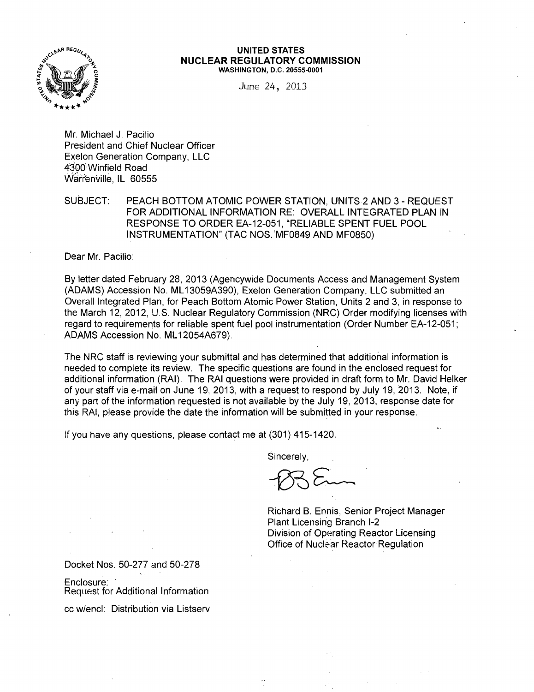

#### **UNITED STATES NUCLEAR REGULATORY COMMISSION**  WASHINGTON, D.C. 20555-0001

June 24, 2013

Mr. Michael J. Pacilio President and Chief Nuclear Officer Exelon Generation Company, LLC 4300 Winfield Road Warrenville, IL 60555

SUBJECT: PEACH BOTTOM ATOMIC POWER STATION, UNITS 2 AND 3- REQUEST FOR ADDITIONAL INFORMATION RE: OVERALL INTEGRATED PLAN IN RESPONSE TO ORDER EA-12-051, "RELIABLE SPENT FUEL POOL INSTRUMENTATION" (TAC NOS.'MF0849 AND MF0850)

Dear Mr. Pacilio:

By letter dated February 28, 2013 (Agencywide Documents Access and Management System (ADAMS) Accession No. ML 13059A390), Exelon Generation Company, LLC submitted an Overall Integrated Plan, for Peach Bottom Atomic Power Station, Units 2 and 3, in response to the March 12, 2012, U.S. Nuclear Regulatory Commission (NRC) Order modifying licenses with regard to requirements for reliable spent fuel pool instrumentation (Order Number EA-12-051; ADAMS Accession No. ML 12054A679).

The NRC staff is reviewing your submittal and has determined that additional information is needed to complete its review. The specific questions are found in the enclosed request for additional information (RAI). The RAI questions were provided in draft form to Mr. David Helker of your staff via e-mail on June 19, 2013, with a request to respond by July 19, 2013. Note, if any part of the information requested is not available by the July 19, 2013, response date for this RAJ, please provide the date the information will be submitted in your response.

If you have any questions, please contact me at (301) 415-1420.

Sincerely,

Richard B. Ennis, Senior Project Manager Plant Licensing Branch 1-2 Division of Operating Reactor Licensing Office of Nuclear Reactor-Regulation

Docket Nos. 50-277 and 50-278

Enclosure: Request for Additional Information

cc w/encl: Distribution via Listserv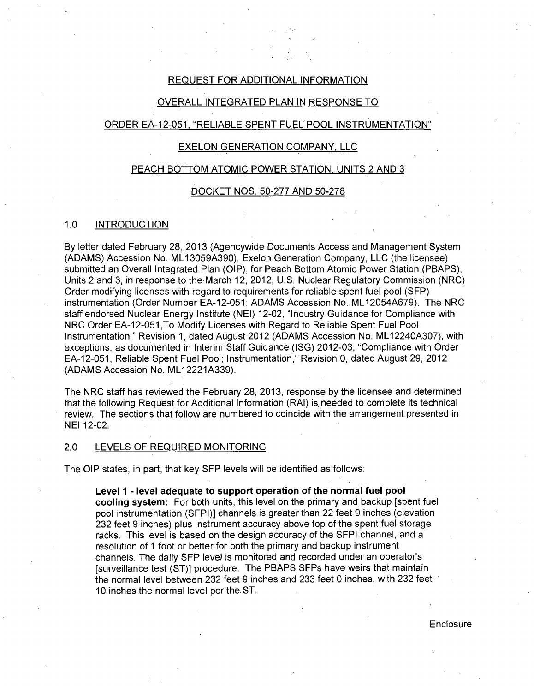# REQUEST FOR ADDITIONAL INFORMATION

## OVERALL INTEGRATED PLAN IN RESPONSE TO

# ORDER EA-12-051, "RELIABLE SPENT FUEL' POOL INSTRUMENTATION"

### EXELON GENERATION COMPANY, LLC

# PEACH BOTTOM ATOMIC POWER STATION, UNITS 2 AND 3

#### DOCKET NOS. 50-277 AND 50-278

### 1.0 INTRODUCTION

By letter dated February 28, 2013 (Agencywide Documents Access and Management System (ADAMS) Accession No. ML 13059A390), Exelon Generation Company, LLC (the licensee) submitted an Overall Integrated Plan (OIP), for Peach Bottom Atomic Power Station (PBAPS), Units 2 and 3, in response to the March 12, 2012, U.S. Nuclear Regulatory Commission (NRC) Order modifying licenses with regard to requirements for reliable spent fuel pool (SFP) instrumentation (Order Number EA-12-051; ADAMS Accession No. ML 12054A679). The NRC staff endorsed Nuclear Energy Institute (NEI) 12-02, "Industry Guidance for Compliance with NRC Order EA-12-051 ,To Modify Licenses with Regard to Reliable Spent Fuel Pool Instrumentation," Revision 1, dated August 2012 (ADAMS Accession No. ML 12240A307), with exceptions, as documented in Interim Staff Guidance (ISG) 2012-03, "Compliance with Order EA-12-051, Reliable Spent Fuel Pool; Instrumentation," Revision 0, dated August 29, 2012 (ADAMS Accession No. ML 12221A339).

The NRC staff has reviewed the February 28, 2013, response by the licensee and determined that the following Request for Additional Information (RAI) is. needed to complete its technical review. The sections that follow are numbered to coincide with the arrangement presented in NEI 12-02.

# 2.0 LEVELS OF REQUIRED MONITORING

The OIP states, in part, that key SFP levels will be identified as follows:

**Level 1 - level adequate to support operation of the normal fuel pool cooling system:** For both units, this level on the primary and backup [spent fuel pool instrumentation (SFPI)] channels is greater than 22 feet 9 inches (elevation 232 feet 9 inches) plus instrument accuracy above top of the spent fuel storage racks. This level is based on the design accuracy of the SFPI channel, and a resolution of 1 foot or better for both the primary and backup instrument channels. The daily SFP level is monitored and recorded under an operator's [surveillance test (ST)] procedure. The PBAPS SFPs have weirs that maintain the normal level between 232 feet 9 inches and 233 feet 0 inches, with 232 feet 10 inches the normal level per the ST.

**Enclosure**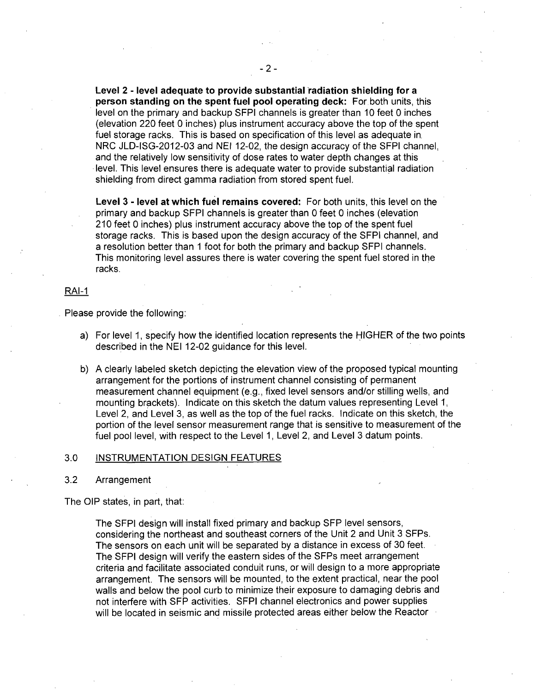**Level 2 - level adequate to provide substantial ·radiation shielding for a person standing on the spent fuel pool operating deck:** For.both units, this level on the primary and backup SFPI channels is greater than 10 feet 0 inches {elevation 220 feet 0 inches) plus instrument accuracy above the top of the spent fuel storage racks. This is based on specification of this level as adequate in. NRC JLD-ISG-2012-03 and NEI 12-02, the design accuracy of the SFPI channel, and the relatively low sensitivity of dose rates to water depth changes at this ·level. This level ensures there is adequate water to provide substantial radiation shielding from direct gamma radiation from stored spent fuel.

Level 3 - level at which fuel remains covered: For both units, this level on the primary and backup SFPI channels. is greater than 0 feet 0 inches (elevation 210 feet 0 inches) plus instrument accuracy above the top of the spent fuel storage racks. This is based upon the design accuracy of the SFPI channel, and a resolution better than 1 foot for both the primary and backup SFPI channels. This monitoring level assures there is water covering the spent fuel stored in the racks.

#### RAI-1

Please provide the following:

- a) For level 1, specify how the identified location represents the HIGHER of the two points described in the NEI 12-02 guidance for this level.
- b) A clearly labeled sketch depicting the elevation view of the proposed typical mounting arrangement for the portions of instrument channel consisting of permanent measurement channel equipment (e.g., fixed level sensors and/or stilling wells, and mounting brackets). Indicate on this sketch the datum values representing Level 1, Level 2, and Level 3, as well as the top of the fuel racks. Indicate on this sketch, the portion of the level sensor measurement range that is sensitive to measurement of the fuel pool level, with respect to the Level 1, Level 2, and Level 3 datum points.

### 3.0 INSTRUMENTATION DESIGN FEATURES

## 3.2 Arrangement

The OIP states, in part, that:

The SFPI design will install fixed primary and backup SFP level sensors, considering the northeast and southeast corners of the Unit 2 and Uhit 3 SFPs. The sensors on each unit will be separated by a distance in excess of 30 feet. The SFPI design will verify the eastern sides of the SFPs meet arrangement criteria and facilitate associated conduit runs, or will design to a more appropriate arrangement. The sensors will be mounted, to the extent practical, near the pool walls and below the pool curb to minimize their exposure to damaging debris and not interfere with SFP activities. SFPI channel electronics and power supplies will be located in seismic and missile protected areas either below the Reactor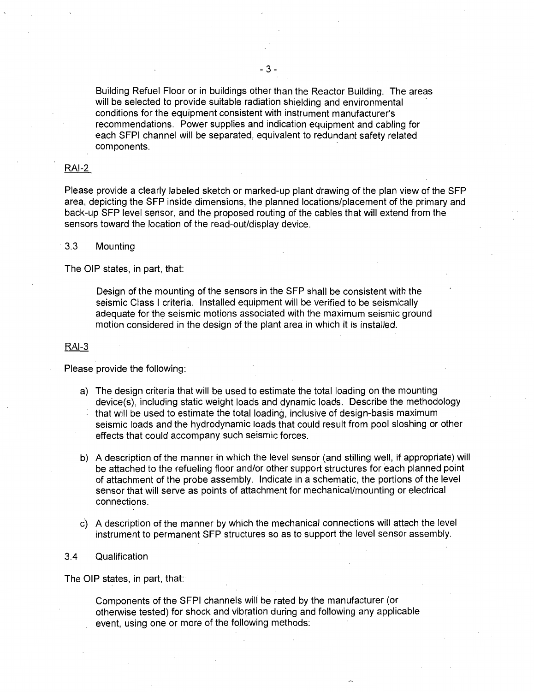Building Refuel Floor or in buildings other than the Reactor Building. The areas will be selected to provide suitable radiation shielding and environmental conditions for the equipment consistent with instrument manufacturer's recommendations. Power supplies and indication equipment and cabling for each SFPI channel will be separated, equivalent to redundant safety related components.

# RAI-2

Please provide a clearly labeled sketch or marked-up plant drawing of the plan view of the SFP area, depicting the SFP inside dimensions, the planned locations/placement of the primary and back-up SFP level sensor, and the proposed routing of the cables that will extend from the sensors toward the location of the read-out/display device.

# 3.3 Mounting

The OIP states, in part, that:

Design of the mounting of the sensors in the SFP shall be consistent with the seismic Class I criteria. Installed equipment will be verified to be seismically adequate for the seismic motions associated with the maximum seismic ground motion considered in the design of the plant area in which it is installed.

### RAI-3

Please provide the following:

- a) The design criteria that will be used to estimate the total loading on the mounting device(s), including static weight loads and dynamic loads. Describe the methodology that will be used to estimate the total loading, inclusive of design-basis maximum seismic loads and the hydrodynamic loads that could result from pool sloshing or other effects that could accompany such seismic forces.
- b) A description of the manner in which the level sensor (and stilling well, if appropriate) will be attached to the refueling floor and/or other support structures for each planned point of attachment of the probe assembly. Indicate in a schematic, the portions of the level sensor that will serve as points of attachment for mechanical/mounting or electrical connections.
- c) A description of the manner by which the mechanical connections will attach the level instrument to permanent SFP structures so as to support the level sensor assembly.

### 3.4 Qualification

The OIP states, in part, that:

Components of the SFPI channels will be rated by the manufacturer (or otherwise tested) for shock and vibration during and following any applicable event, using one or more of the following methods: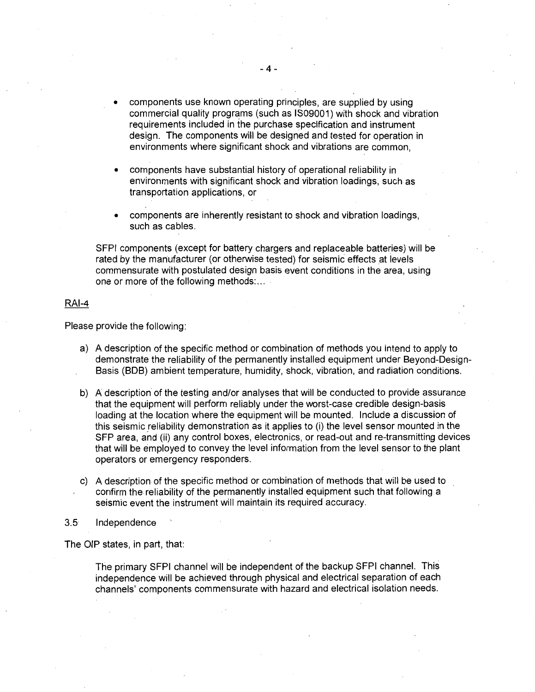- components use known operating principles, are supplied by using commercial quality programs (such as 1809001) with shock and vibration requirements included in the purchase specification and instrument design. The components will be designed and tested for operation in environments where significant shock and vibrations are common,
- components have substantial history of operational reliability in environments with significant shock and vibration loadings, such as transportation applications, or
- components are inherently resistant to shock and vibration loadings, such as cables.

SFPI components (except for battery chargers and replaceable batteries) will be rated by the manufacturer (or otherwise tested) for seismic effects at levels commensurate with postulated design basis event conditions in the area, using one or more of the following methods:...

# RAI-4

Please provide the following:

- a) A description of the specific method or combination of methods you intend to apply to demonstrate the reliability of the permanently installed equipment under Beyond-Design-Basis (BOB) ambient temperature, humidity, shock, vibration, and radiation conditions.
- b) A description of the testing and/or analyses that will be conducted to provide assurance that the equipment will perform reliably under the worst-case credible design-basis loading at the location where the equipment will be mounted. Include a discussion of this seismic reliability demonstration as it applies to (i) the level sensor mounted in the SFP area, and (ii) any control boxes, electronics, or read-out and re-transmitting devices that will be employed to convey the level information from the level sensor to the plant operators or emergency responders.
- c) A description of the specific method or combination of methods that will be used to confirm the- reliability of the permanently installed equipment such that following a seismic event the instrument will maintain its required accuracy.
- 3.5 Independence

The OIP states, in part, that:

The primary SFPI channel will be independent of the backup SFPI channel. This independence will be achieved through physical and electrical separation of each channels' components commensurate with hazard and electrical isolation needs.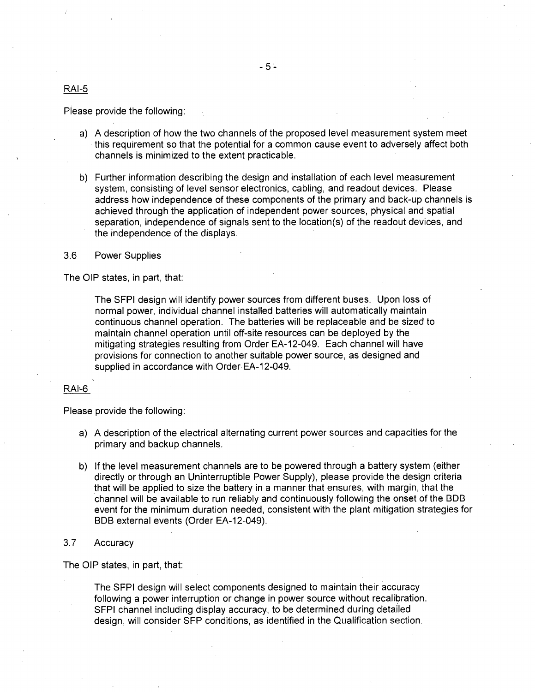# RAI-5

Please provide the following:

- a) A description of how the two channels of the proposed level measurement system meet this requirement so that the potential for a common cause event to adversely affect both channels is minimized to the extent practicable.
- b) Further information describing the design and installation of each level measurement system, consisting of level sensor electronics, cabling, and readout devices. Please address how independence of these components of the primary and back-up channels is achieved through the application of independent power sources, physical and spatial separation, independence of signals sent to the location(s) of the readout devices, and the independence of the displays.

#### 3.6 Power Supplies

The OIP states, in part, that:

The SFPI design will identify power sources from different buses. Upon loss of normal power, individual channel installed batteries will automatically maintain continuous channel operation. The batteries will be replaceable and be sized to maintain channel operation until off-site resources can be deployed by the mitigating strategies resulting from Order EA-12-049. Each channel will have provisions for connection to another suitable power source, as designed and supplied in accordance with Order EA-12-049.

### RAI-6

Please provide the following:

- a) A description of the electrical alternating current power sources and capacities for the primary and backup channels.
- b) If the level measurement channels are to be powered through a battery system (either directly or through an Uninterruptible Power Supply), please provide the design criteria that will be applied to size the battery in a manner that ensures, with margin, that the channel will be available to run reliably and continuously following the onset of the BOB event for the minimum duration needed, consistent with the plant mitigation strategies for BOB external events (Order EA-12-049).

# 3.7 Accuracy

The OIP states, in part, that:

The SFPI design will select components designed to maintain their accuracy following a power interruption or change in power source without recalibration. SFPI channel including display accuracy, to be determined during detailed design, will consider SFP conditions, as identified in the Qualification section.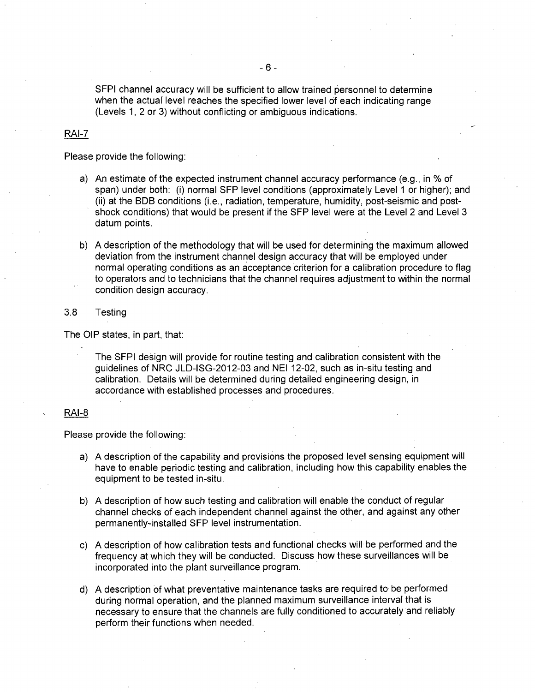SFPI channel accuracy will be sufficient to allow trained personnel to determine when the actual level reaches the specified lower level of each indicating range (Levels 1, 2 or 3) without conflicting or ambiguous indications.

#### RAI-7

Please provide the following:

- a) An estimate of the expected instrument channel accuracy performance (e.g., in % of span) under both: (i) normal SFP level conditions (approximately Level 1 or higher); and (ii) at the BDB conditions (i.e., radiation, temperature, humidity, post-seismic and postshock conditions) that would be present if the SFP level were at the Level 2 and Level 3 datum points.
- b) A description of the methodology that will be used for determining the maximum allowed deviation from the instrument channel design accuracy that will be employed under normal operating conditions as an acceptance criterion for a calibration procedure to flag to operators and to technicians that the channel requires adjustment to within the normal condition design accuracy.
- 3.8 Testing

The OIP states, in part, that:

The SFPI design will provide for routine testing and calibration consistent with the guidelines of NRC JLD-ISG-2012-03 and NEI 12-02, such as in-situ testing and calibration. Details will be determined during detailed engineering design, in accordance with established processes and procedures.

## RAI-8

Please provide the following:

- a) A description of the capability and provisions the proposed level sensing equipment will have to enable periodic testing and calibration, including how this capability enables the equipment to be tested in-situ.
- b) A description of how such testing and calibration will enable the conduct of regular channel checks of each independent channel against the other, and against any other permanently-installed SFP level instrumentation.
- c) A description of how calibration tests and functional checks will be performed and the frequency at which they will be conducted. Discuss how these surveillances will be incorporated into the plant surveillance program.
- d) A description of what preventative maintenance tasks are required to be performed during normal operation, and the planned maximum surveillance interval that is necessary to ensure that the channels are fully conditioned to accurately and reliably perform their functions when needed.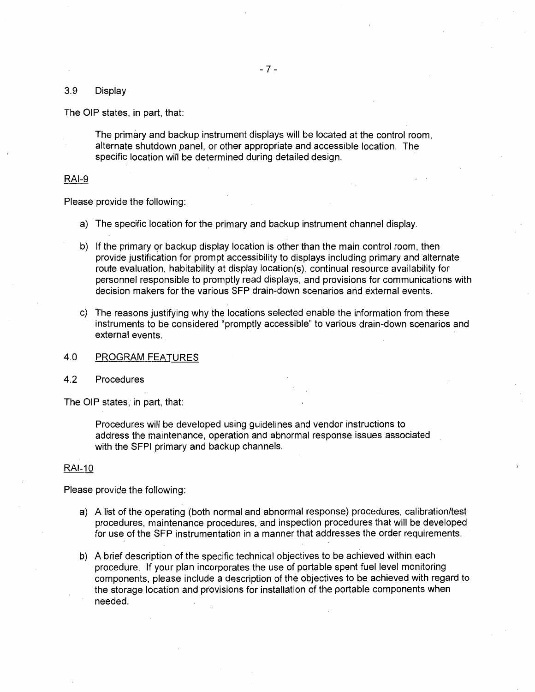## 3.9 Display

The OIP states, in part, that:

The primary and backup instrument displays will be located at the control room, alternate shutdown panel, or other appropriate and accessible location. The specific location will be determined during detailed design.

# RAI-9

Please provide the following:

- a) The specific location for the primary and backup instrument channel display.
- b) If the primary or backup display location is other than the main control room, then provide justification for prompt accessibility to displays including primary and alternate route evaluation, habitability at display location(s), continual resource availability for personnel responsible to promptly read displays, and provisions for communications with decision makers for the various SFP drain-down scenarios arid external events.
- c) The reasons justifying why the locations selected enable the information from these instruments to be considered "promptly accessible" to various drain-down scenarios and external events.
- 4.0 PROGRAM FEATURES
- 4.2 Procedures

The OIP states, in part, that:

Procedures will be developed using guidelines and vendor instructions to address the maintenance, operation and abnormal response issues associated with the SFPI primary and backup channels.

# RAI-10

Please provide the following:

- a) A list of the operating (both normal and abnormal response) procedures, calibration/test procedures, maintenance procedures, and inspection procedures that will be developed for use of the SFP instrumentation in a manner that addresses the order requirements.
- b) A brief description of the specific technical objectives to be achieved within each procedure. If your plan incorporates the use of portable spent fuel level monitoring components, please include a description of the objectives to be achieved with regard to the storage location and provisions for installation of the portable components when needed.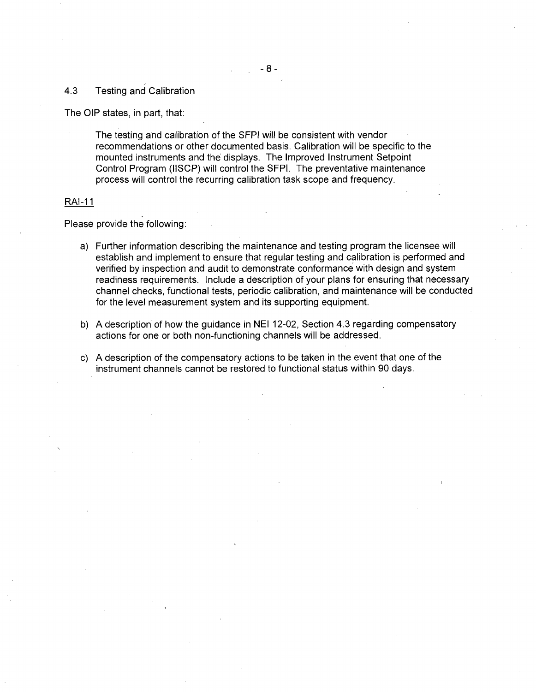## 4.3 Testing and Calibration

The OIP states, in part, that:

The testing and calibration of the SFPI will be consistent with vendor recommendations or other documented basis. Calibration will be specific to the mounted instruments and the displays. The Improved Instrument Setpoint Control Program (IISCP) will control the SFPI. The preventative maintenance process will control the recurring calibration task scope and frequency.

## RAI-11

Please provide the following:

- a) Further information describing the maintenance and testing program the licensee will establish and implement to ensure that regular testing and calibration is performed and verified by inspection and audit to demonstrate conformance with design and system readiness requirements. Include a description of your plans for ensuring that necessary channel checks, functional tests, periodic calibration, and maintenance will be conducted for the level measurement system and its supporting equipment.
- b) A description of how the guidance in NEI 12-02, Section 4.3 regarding compensatory actions for one or both non-functioning channels will be addressed.
- c) A description of the compensatory actions to be taken in the event that one of the instrument channels cannot be restored to functional status within 90 days.